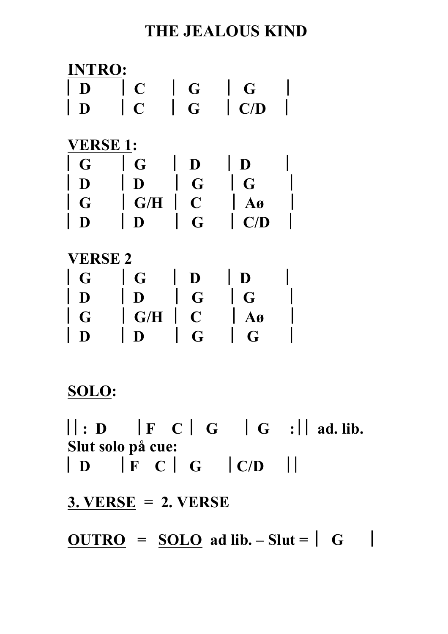## **THE JEALOUS KIND**

| <b>NTRO:</b>    |                |                         |                         |  |
|-----------------|----------------|-------------------------|-------------------------|--|
| D               | $\mathbf C$    | G                       | G                       |  |
| D               | $\overline{C}$ | G                       | $\mathbf{C}/\mathbf{D}$ |  |
| <b>VERSE 1:</b> |                |                         |                         |  |
|                 |                |                         |                         |  |
| G               | G              | D                       | D                       |  |
| $\mathbf D$     | D              | G                       | G                       |  |
| G               | G/H            | $\overline{\mathbf{C}}$ | $\bf{A0}$               |  |
| D               | D              | G                       | C/D                     |  |
|                 |                |                         |                         |  |
| <b>VERSE 2</b>  |                |                         |                         |  |
| G               | G              | $\mathbf D$             | D                       |  |
| D               | D              | G                       | G                       |  |
| G               | G/H            | $\overline{\mathbf{C}}$ | Aø                      |  |
|                 |                | G                       | G                       |  |

# **SOLO:**

 $\vert\vert : D \vert \vert F \vert C \vert G \vert \vert G \vert : \vert\vert a d. \text{ lib.}$ **Slut solo på cue:** ⎢ **D** ⎢**F C** ⎢ **G** ⎢**C/D** ⎢⎢

**3. VERSE = 2. VERSE** 

 $\underline{OUTRO} = \underline{S OLO}$  ad lib.  $-\underline{S}$ lut =  $\begin{vmatrix} G \\ \end{vmatrix}$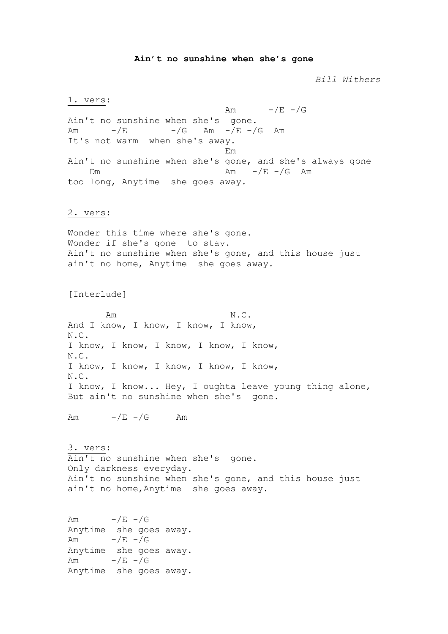#### **Ain't no sunshine when she's gone**

*Bill Withers*

1. vers: Am  $-\sqrt{E}$   $-\sqrt{G}$ Ain't no sunshine when she's gone. Am  $-\angle E$   $-\angle G$  Am  $-\angle E$   $-\angle G$  Am It's not warm when she's away. Em Ain't no sunshine when she's gone, and she's always gone Dm  $\text{Am}$   $-\text{/E}$   $-\text{/G}$  Am too long, Anytime she goes away. 2. vers: Wonder this time where she's gone. Wonder if she's gone to stay. Ain't no sunshine when she's gone, and this house just ain't no home, Anytime she goes away. [Interlude] Am N.C. And I know, I know, I know, I know, N.C. I know, I know, I know, I know, I know, N.C. I know, I know, I know, I know, I know, N.C. I know, I know... Hey, I oughta leave young thing alone, But ain't no sunshine when she's gone. Am  $-/E$   $-/G$  Am 3. vers: Ain't no sunshine when she's gone. Only darkness everyday. Ain't no sunshine when she's gone, and this house just ain't no home,Anytime she goes away. Am  $-/E$   $-/G$ Anytime she goes away. Am  $-\sqrt{E}$   $-\sqrt{G}$ Anytime she goes away. Am  $-/E$   $-/G$ Anytime she goes away.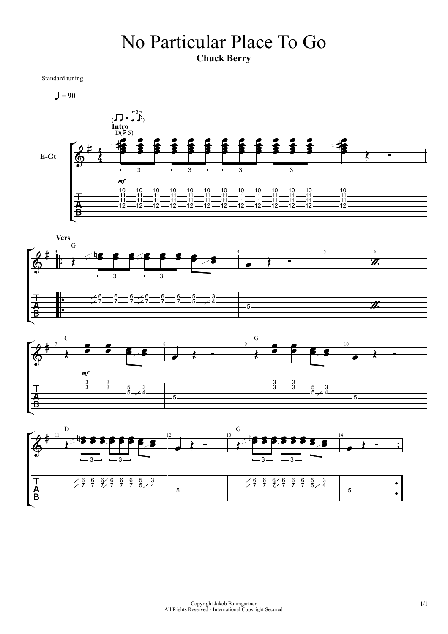### No Particular Place To Go **Chuck Berry**

Standard tuning







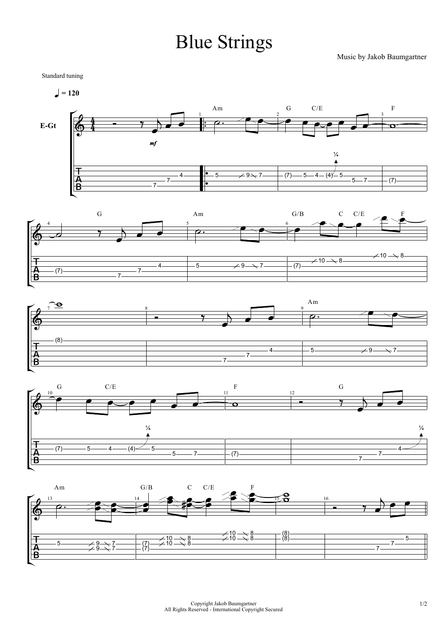# Blue Strings

Music by Jakob Baumgartner

Standard tuning

 $= 120$